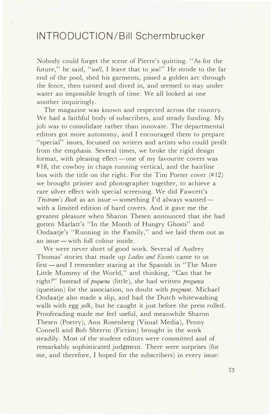## **INTRODUCTION/Bill Schermbrucker**

Nobody could forget the scene of Pierre's quitting. "As for the future," he said, *"well,* I leave that to *you!"* He strode to the far end of the pool, shed his garments, pissed a golden arc through the fence, then turned and dived in, and seemed to stay under water an impossible length of time. We all looked at one another inquiringly.

The magazine was known and respected across the country. We had a faithful body of subscribers, and steady funding. My job was to consolidate rather than innovate. The departmental editors got more autonomy, and I encouraged them to prepare "special" issues, focussed on writers and artists who could profit from the emphasis. Several times, we broke the rigid design format, with pleasing effect — one of my favourite covers was #18, the cowboy in chaps running vertical, and the hairline box with the title on the right. For the Tim Porter cover  $(\#12)$ we brought printer and photographer together, to achieve a rare silver effect with special screening. We did Fawcett's *Tristram's Book* as an issue — something I'd always wanted with a limited edition of hard covers. And it gave me the greatest pleasure when Sharon Thesen announced that she had gotten Marlatt's "In the Month of Hungry Ghosts" and Ondaatje's "Running in the Family," and we laid them out as an issue  $-$  with full colour inside.

We were never short of good work. Several of Audrey Thomas' stories that made up *Ladies and Escorts* came to us first — and I remember staring at the Spanish in "The More Little Mummy of the World," and thinking, "Can that be right?" Instead of *pequena* (little), she had written *pregunta* (question) for the association, no doubt with *pregnant.* Michael Ondaatje also made a slip, and had the Dutch whitewashing walls with egg *yolk,* but he caught it just before the press rolled. Proofreading made me feel useful, and meanwhile Sharon Thesen (Poetry), Ann Rosenberg (Visual Media), Penny Connell and Bob Sherrin (Fiction) brought in the work steadily. Most of the student editors were committed and of remarkably sophisticated judgment. There were surprises (for me, and therefore, I hoped for the subscribers) in every issue: